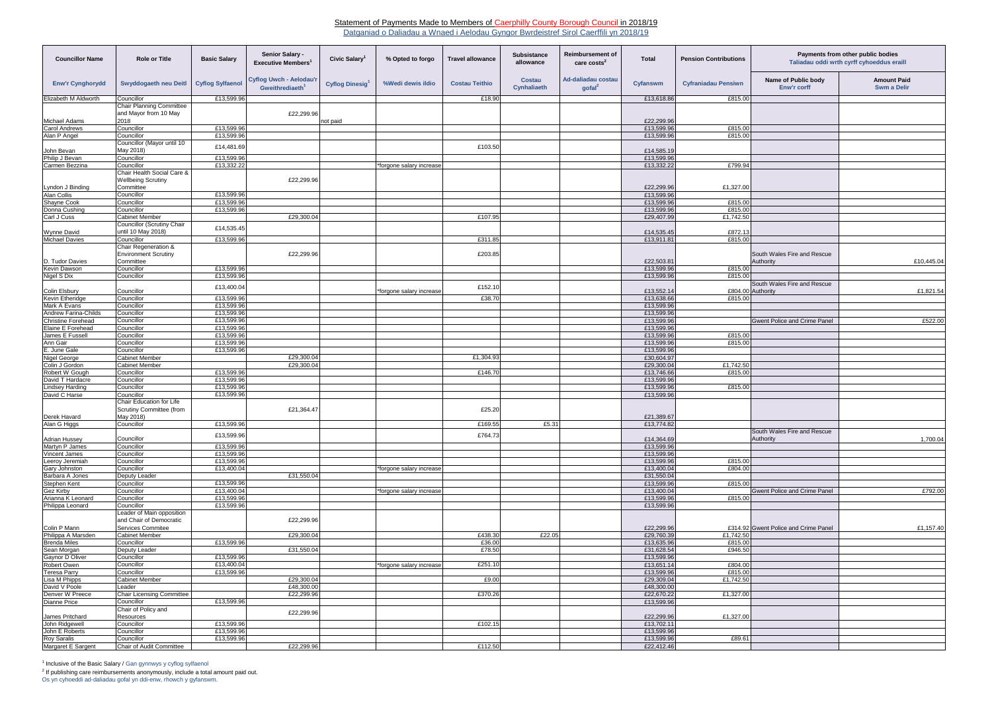## Statement of Payments Made to Members of Caerphilly County Borough Council in 2018/19

Datganiad o Daliadau a Wnaed i Aelodau Gyngor Bwrdeistref Sirol Caerffili yn 2018/19

| <b>Councillor Name</b>                         | <b>Role or Title</b>                                     | <b>Basic Salary</b>      | Senior Salary -<br><b>Executive Members</b>                   | Civic Salary          | % Opted to forgo         | <b>Travel allowance</b> | Subsistance<br>allowance | <b>Reimbursement of</b><br>care costs <sup>2</sup> | <b>Total</b>             | <b>Pension Contributions</b> | Payments from other public bodies<br>Taliadau oddi wrth cyrff cyhoeddus eraill |                                          |
|------------------------------------------------|----------------------------------------------------------|--------------------------|---------------------------------------------------------------|-----------------------|--------------------------|-------------------------|--------------------------|----------------------------------------------------|--------------------------|------------------------------|--------------------------------------------------------------------------------|------------------------------------------|
| <b>Enw'r Cynghorydd</b>                        | Swyddogaeth neu Deitl                                    | <b>Cyflog Sylfaenol</b>  | <b>Cyflog Uwch - Aelodau'r</b><br>Gweithrediaeth <sup>1</sup> | <b>Cyflog Dinesig</b> | %Wedi dewis ildio        | <b>Costau Teithio</b>   | Costau<br>Cynhaliaeth    | Ad-daliadau costau<br>$\text{gofal}^2$             | Cyfanswm                 | <b>Cyfraniadau Pensiwn</b>   | Name of Public body<br>Enw'r corff                                             | <b>Amount Paid</b><br><b>Swm a Delir</b> |
| Elizabeth M Aldworth                           | Councillor                                               | £13,599.96               |                                                               |                       |                          | £18.90                  |                          |                                                    | £13,618.86               | £815.00                      |                                                                                |                                          |
|                                                | <b>Chair Planning Committee</b><br>and Mayor from 10 May |                          | £22,299.96                                                    |                       |                          |                         |                          |                                                    |                          |                              |                                                                                |                                          |
| Michael Adams                                  | 2018                                                     |                          |                                                               | not paid              |                          |                         |                          |                                                    | £22,299.96               |                              |                                                                                |                                          |
| <b>Carol Andrews</b>                           | Councillor                                               | £13,599.96               |                                                               |                       |                          |                         |                          |                                                    | £13,599.96               | £815.00                      |                                                                                |                                          |
| Alan P Angel                                   | Councillor                                               | £13,599.96               |                                                               |                       |                          |                         |                          |                                                    | £13,599.96               | £815.00                      |                                                                                |                                          |
|                                                | Councillor (Mayor until 10                               | £14,481.69               |                                                               |                       |                          | £103.50                 |                          |                                                    |                          |                              |                                                                                |                                          |
| John Bevan<br>Philip J Bevan                   | May 2018)<br>Councillor                                  | £13,599.96               |                                                               |                       |                          |                         |                          |                                                    | £14,585.19<br>£13,599.96 |                              |                                                                                |                                          |
| Carmen Bezzina                                 | Councillor                                               | £13,332.22               |                                                               |                       | *forgone salary increase |                         |                          |                                                    | £13,332.22               | £799.94                      |                                                                                |                                          |
|                                                | Chair Health Social Care &<br><b>Wellbeing Scrutiny</b>  |                          | £22,299.96                                                    |                       |                          |                         |                          |                                                    |                          |                              |                                                                                |                                          |
| Lyndon J Binding                               | Committee                                                |                          |                                                               |                       |                          |                         |                          |                                                    | £22,299.96               | £1,327.00                    |                                                                                |                                          |
| <b>Alan Collis</b>                             | Councillor                                               | £13,599.96               |                                                               |                       |                          |                         |                          |                                                    | £13,599.96               |                              |                                                                                |                                          |
| Shayne Cook                                    | Councillor                                               | £13,599.96               |                                                               |                       |                          |                         |                          |                                                    | £13,599.96               | £815.00                      |                                                                                |                                          |
| Donna Cushing                                  | Councillor                                               | £13,599.96               |                                                               |                       |                          |                         |                          |                                                    | £13,599.96               | £815.00                      |                                                                                |                                          |
| Carl J Cuss                                    | <b>Cabinet Member</b>                                    |                          | £29.300.04                                                    |                       |                          | £107.95                 |                          |                                                    | £29,407.99               | £1,742.50                    |                                                                                |                                          |
|                                                | <b>Councillor (Scrutiny Chair</b><br>until 10 May 2018)  | £14,535.45               |                                                               |                       |                          |                         |                          |                                                    | £14,535.45               | £872.13                      |                                                                                |                                          |
| Wynne David<br><b>Michael Davies</b>           | Councillor                                               | £13,599.96               |                                                               |                       |                          | £311.85                 |                          |                                                    | £13,911.81               | £815.00                      |                                                                                |                                          |
|                                                | Chair Regeneration &                                     |                          |                                                               |                       |                          |                         |                          |                                                    |                          |                              |                                                                                |                                          |
|                                                | <b>Environment Scrutiny</b>                              |                          | £22,299.96                                                    |                       |                          | £203.85                 |                          |                                                    |                          |                              | South Wales Fire and Rescue                                                    |                                          |
| D. Tudor Davies                                | Committee                                                |                          |                                                               |                       |                          |                         |                          |                                                    | £22,503.81               |                              | Authority                                                                      | £10,445.04                               |
| Kevin Dawson                                   | Councillor                                               | £13,599.96               |                                                               |                       |                          |                         |                          |                                                    | £13,599.96               | £815.00                      |                                                                                |                                          |
| Nigel S Dix                                    | Councillor                                               | £13,599.96               |                                                               |                       |                          |                         |                          |                                                    | £13,599.96               | £815.00                      |                                                                                |                                          |
|                                                |                                                          | £13,400.04               |                                                               |                       |                          | £152.10                 |                          |                                                    |                          |                              | South Wales Fire and Rescue                                                    |                                          |
| <b>Colin Elsbury</b><br><b>Kevin Etheridge</b> | Councillor<br>Councillor                                 | £13,599.96               |                                                               |                       | *forgone salary increase | £38.70                  |                          |                                                    | £13,552.14<br>£13,638.66 | £815.00                      | £804.00 Authority                                                              | £1,821.54                                |
| Mark A Evans                                   | Councillor                                               | £13,599.96               |                                                               |                       |                          |                         |                          |                                                    | £13,599.96               |                              |                                                                                |                                          |
| Andrew Farina-Childs                           | Councillor                                               | £13,599.96               |                                                               |                       |                          |                         |                          |                                                    | £13,599.96               |                              |                                                                                |                                          |
| <b>Christine Forehead</b>                      | Councillor                                               | £13,599.96               |                                                               |                       |                          |                         |                          |                                                    | £13,599.96               |                              | <b>Gwent Police and Crime Panel</b>                                            | £522.00                                  |
| Elaine E Forehead                              | Councillor                                               | £13,599.96               |                                                               |                       |                          |                         |                          |                                                    | £13,599.96               |                              |                                                                                |                                          |
| James E Fussell                                | Councillor                                               | £13,599.96               |                                                               |                       |                          |                         |                          |                                                    | £13,599.96               | £815.00                      |                                                                                |                                          |
| Ann Gair                                       | Councillor                                               | £13,599.96               |                                                               |                       |                          |                         |                          |                                                    | £13,599.96               | £815.00                      |                                                                                |                                          |
| E. June Gale                                   | Councillor<br>Cabinet Member                             | £13,599.96               | £29,300.04                                                    |                       |                          | £1,304.93               |                          |                                                    | £13,599.96<br>£30,604.97 |                              |                                                                                |                                          |
| Nigel George<br>Colin J Gordon                 | <b>Cabinet Member</b>                                    |                          | £29,300.04                                                    |                       |                          |                         |                          |                                                    | £29,300.04               | £1,742.50                    |                                                                                |                                          |
| Robert W Gough                                 | Councillor                                               | £13,599.96               |                                                               |                       |                          | £146.70                 |                          |                                                    | £13,746.66               | £815.00                      |                                                                                |                                          |
| David T Hardacre                               | Councillor                                               | £13.599.96               |                                                               |                       |                          |                         |                          |                                                    | £13,599.96               |                              |                                                                                |                                          |
| <b>Lindsey Harding</b>                         | Councillor                                               | £13,599.96               |                                                               |                       |                          |                         |                          |                                                    | £13,599.96               | £815.00                      |                                                                                |                                          |
| David C Harse                                  | Councillor                                               | £13,599.96               |                                                               |                       |                          |                         |                          |                                                    | £13,599.96               |                              |                                                                                |                                          |
|                                                | Chair Education for Life<br>Scrutiny Committee (from     |                          | £21,364.47                                                    |                       |                          | £25.20                  |                          |                                                    |                          |                              |                                                                                |                                          |
| Derek Havard                                   | May 2018)                                                |                          |                                                               |                       |                          |                         |                          |                                                    | £21,389.67               |                              |                                                                                |                                          |
| Alan G Higgs                                   | Councillor                                               | £13,599.96               |                                                               |                       |                          | £169.55                 | £5.31                    |                                                    | £13,774.82               |                              | South Wales Fire and Rescue                                                    |                                          |
| <b>Adrian Hussey</b>                           | Councillor                                               | £13,599.96               |                                                               |                       |                          | £764.73                 |                          |                                                    | £14,364.69               |                              | Authority                                                                      | 1,700.04                                 |
| Martyn P James                                 | Councillor                                               | £13,599.96               |                                                               |                       |                          |                         |                          |                                                    | £13,599.96               |                              |                                                                                |                                          |
| Vincent James                                  | Councillor                                               | £13,599.96               |                                                               |                       |                          |                         |                          |                                                    | £13,599.96               |                              |                                                                                |                                          |
| Leeroy Jeremiah                                | Councillor                                               | £13,599.96               |                                                               |                       |                          |                         |                          |                                                    | £13,599.96               | £815.00                      |                                                                                |                                          |
| <b>Gary Johnston</b>                           | Councillor                                               | £13,400.04               |                                                               |                       | *forgone salary increase |                         |                          |                                                    | £13,400.04               | £804.00                      |                                                                                |                                          |
| Barbara A Jones                                | Deputy Leader                                            |                          | £31,550.04                                                    |                       |                          |                         |                          |                                                    | £31,550.04               |                              |                                                                                |                                          |
| Stephen Kent                                   | Councillor                                               | £13,599.96               |                                                               |                       |                          |                         |                          |                                                    | £13,599.96               | £815.00                      |                                                                                |                                          |
| <b>Gez Kirby</b><br>Arianna K Leonard          | Councillor<br>Councillor                                 | £13,400.04<br>£13,599.96 |                                                               |                       | *forgone salary increase |                         |                          |                                                    | £13,400.04<br>£13,599.96 |                              | <b>Gwent Police and Crime Panel</b>                                            | £792.00                                  |
| Philippa Leonard                               | Councillor                                               | £13,599.96               |                                                               |                       |                          |                         |                          |                                                    | £13,599.96               | £815.00                      |                                                                                |                                          |
|                                                | Leader of Main opposition                                |                          |                                                               |                       |                          |                         |                          |                                                    |                          |                              |                                                                                |                                          |
|                                                | and Chair of Democratic                                  |                          | £22,299.96                                                    |                       |                          |                         |                          |                                                    |                          |                              |                                                                                |                                          |
| Colin P Mann                                   | Services Commitee                                        |                          |                                                               |                       |                          |                         |                          |                                                    | £22,299.96               |                              | £314.92 Gwent Police and Crime Panel                                           | £1,157.40                                |
| Philippa A Marsden                             | <b>Cabinet Member</b>                                    |                          | £29,300.04                                                    |                       |                          | £438.30                 | £22.05                   |                                                    | £29,760.39               | £1,742.50                    |                                                                                |                                          |
| <b>Brenda Miles</b>                            | Councillor                                               | £13,599.96               |                                                               |                       |                          | £36.00                  |                          |                                                    | £13,635.96               | £815.00                      |                                                                                |                                          |
| Sean Morgan                                    | Deputy Leader                                            |                          | £31,550.04                                                    |                       |                          | £78.50                  |                          |                                                    | £31,628.54               | £946.50                      |                                                                                |                                          |
| Gaynor D Oliver                                | Councillor                                               | £13,599.96<br>£13,400.04 |                                                               |                       |                          | £251.10                 |                          |                                                    | £13,599.96               |                              |                                                                                |                                          |
| Robert Owen<br><b>Teresa Parry</b>             | Councillor<br>Councillor                                 | £13,599.96               |                                                               |                       | *forgone salary increase |                         |                          |                                                    | £13,651.14<br>£13,599.96 | £804.00<br>£815.00           |                                                                                |                                          |
| Lisa M Phipps                                  | <b>Cabinet Member</b>                                    |                          | £29,300.04                                                    |                       |                          | £9.00                   |                          |                                                    | £29,309.04               | £1,742.50                    |                                                                                |                                          |
| David V Poole                                  | Leader                                                   |                          | £48,300.00                                                    |                       |                          |                         |                          |                                                    | £48,300.00               |                              |                                                                                |                                          |
| Denver W Preece                                | <b>Chair Licensing Committee</b>                         |                          | £22,299.96                                                    |                       |                          | £370.26                 |                          |                                                    | £22,670.22               | £1,327.00                    |                                                                                |                                          |
| <b>Dianne Price</b>                            | Councillor                                               | £13,599.96               |                                                               |                       |                          |                         |                          |                                                    | £13,599.96               |                              |                                                                                |                                          |
|                                                | Chair of Policy and                                      |                          | £22,299.96                                                    |                       |                          |                         |                          |                                                    |                          |                              |                                                                                |                                          |
| James Pritchard                                | Resources                                                |                          |                                                               |                       |                          |                         |                          |                                                    | £22,299.96               | £1,327.00                    |                                                                                |                                          |
| John Ridgewell<br>John E Roberts               | Councillor<br>Councillor                                 | £13,599.96<br>£13,599.96 |                                                               |                       |                          | £102.15                 |                          |                                                    | £13,702.11<br>£13,599.96 |                              |                                                                                |                                          |
| <b>Roy Saralis</b>                             | Councillor                                               | £13,599.96               |                                                               |                       |                          |                         |                          |                                                    | £13,599.96               | £89.61                       |                                                                                |                                          |
| Margaret E Sargent                             | Chair of Audit Committee                                 |                          | £22,299.96                                                    |                       |                          | £112.50                 |                          |                                                    | £22,412.46               |                              |                                                                                |                                          |
|                                                |                                                          |                          |                                                               |                       |                          |                         |                          |                                                    |                          |                              |                                                                                |                                          |

<sup>1</sup> Inclusive of the Basic Salary / Gan gynnwys y cyflog sylfaenol

 $2$  If publishing care reimbursements anonymously, include a total amount paid out.

| otal                     | <b>Pension Contributions</b> | Payments from other public bodies<br>Taliadau oddi wrth cyrff cyhoeddus eraill |                                          |  |  |  |  |
|--------------------------|------------------------------|--------------------------------------------------------------------------------|------------------------------------------|--|--|--|--|
| answm                    | <b>Cyfraniadau Pensiwn</b>   | Name of Public body<br><b>Enw'r corff</b>                                      | <b>Amount Paid</b><br><b>Swm a Delir</b> |  |  |  |  |
| £13,618.86               | £815.00                      |                                                                                |                                          |  |  |  |  |
|                          |                              |                                                                                |                                          |  |  |  |  |
| £22,299.96               |                              |                                                                                |                                          |  |  |  |  |
| £13,599.96<br>£13,599.96 | £815.00                      |                                                                                |                                          |  |  |  |  |
| £14,585.19               | £815.00                      |                                                                                |                                          |  |  |  |  |
| £13,599.96               |                              |                                                                                |                                          |  |  |  |  |
| £13,332.22               | £799.94                      |                                                                                |                                          |  |  |  |  |
| £22,299.96<br>£13,599.96 | £1,327.00                    |                                                                                |                                          |  |  |  |  |
| £13,599.96               | £815.00                      |                                                                                |                                          |  |  |  |  |
| £13,599.96               | £815.00                      |                                                                                |                                          |  |  |  |  |
| £29,407.99               | £1,742.50                    |                                                                                |                                          |  |  |  |  |
| £14,535.45               | £872.13                      |                                                                                |                                          |  |  |  |  |
| £13,911.81               | £815.00                      |                                                                                |                                          |  |  |  |  |
| £22,503.81               |                              | South Wales Fire and Rescue<br>Authority                                       | £10,445.04                               |  |  |  |  |
| £13.599.96               | £815.00                      |                                                                                |                                          |  |  |  |  |
| £13,599.96               | £815.00                      |                                                                                |                                          |  |  |  |  |
|                          |                              | South Wales Fire and Rescue                                                    |                                          |  |  |  |  |
| £13,552.14               |                              | £804.00 Authority                                                              | £1,821.54                                |  |  |  |  |
| £13,638.66               | £815.00                      |                                                                                |                                          |  |  |  |  |
| £13,599.96               |                              |                                                                                |                                          |  |  |  |  |
| £13,599.96<br>£13,599.96 |                              | Gwent Police and Crime Panel                                                   | £522.00                                  |  |  |  |  |
| £13,599.96               |                              |                                                                                |                                          |  |  |  |  |
| £13,599.96               | £815.00                      |                                                                                |                                          |  |  |  |  |
| £13,599.96               | £815.00                      |                                                                                |                                          |  |  |  |  |
| £13,599.96               |                              |                                                                                |                                          |  |  |  |  |
| £30,604.97               |                              |                                                                                |                                          |  |  |  |  |
| £29,300.04               | £1,742.50                    |                                                                                |                                          |  |  |  |  |
| £13,746.66               | £815.00                      |                                                                                |                                          |  |  |  |  |
| £13,599.96               |                              |                                                                                |                                          |  |  |  |  |
| £13,599.96<br>£13,599.96 | £815.00                      |                                                                                |                                          |  |  |  |  |
| £21,389.67<br>£13,774.82 |                              |                                                                                |                                          |  |  |  |  |
|                          |                              | South Wales Fire and Rescue                                                    |                                          |  |  |  |  |
| £14,364.69               |                              | Authority                                                                      | 1,700.04                                 |  |  |  |  |
| £13,599.96               |                              |                                                                                |                                          |  |  |  |  |
| £13,599.96               |                              |                                                                                |                                          |  |  |  |  |
| £13,599.96               | £815.00                      |                                                                                |                                          |  |  |  |  |
| £13,400.04               | £804.00                      |                                                                                |                                          |  |  |  |  |
| £31,550.04<br>£13,599.96 | £815.00                      |                                                                                |                                          |  |  |  |  |
| £13,400.04               |                              | <b>Gwent Police and Crime Panel</b>                                            | £792.00                                  |  |  |  |  |
| £13,599.96               | £815.00                      |                                                                                |                                          |  |  |  |  |
| £13,599.96               |                              |                                                                                |                                          |  |  |  |  |
|                          |                              |                                                                                |                                          |  |  |  |  |
| £22,299.96<br>£29,760.39 | £1,742.50                    | £314.92 Gwent Police and Crime Panel                                           | £1,157.40                                |  |  |  |  |
| £13,635.96               | £815.00                      |                                                                                |                                          |  |  |  |  |
| £31,628.54               | £946.50                      |                                                                                |                                          |  |  |  |  |
| £13,599.96               |                              |                                                                                |                                          |  |  |  |  |
| £13,651.14               | £804.00                      |                                                                                |                                          |  |  |  |  |
| £13,599.96               | £815.00                      |                                                                                |                                          |  |  |  |  |
| £29,309.04               | £1,742.50                    |                                                                                |                                          |  |  |  |  |
| £48,300.00               |                              |                                                                                |                                          |  |  |  |  |
| £22,670.22<br>£13,599.96 | £1,327.00                    |                                                                                |                                          |  |  |  |  |
|                          |                              |                                                                                |                                          |  |  |  |  |
| £22,299.96               | £1,327.00                    |                                                                                |                                          |  |  |  |  |
| £13,702.11<br>£13,599.96 |                              |                                                                                |                                          |  |  |  |  |
| £13,599.96               | £89.61                       |                                                                                |                                          |  |  |  |  |
| £22,412.46               |                              |                                                                                |                                          |  |  |  |  |
|                          |                              |                                                                                |                                          |  |  |  |  |

Os yn cyhoeddi ad-daliadau gofal yn ddi-enw, rhowch y gyfanswm.